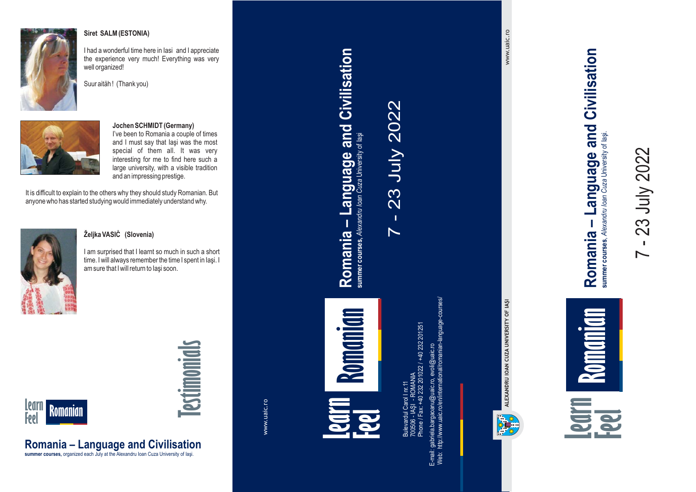

#### **Siret SALM (ESTONIA)**

I had <sup>a</sup> wonderful time here in Iasi and I appreciate the experience very much! Everything was very well organized!





#### **Jochen SCHMIDT (Germany)**

I've been to Romania <sup>a</sup> couple of times and I must say that Iaşi was the most special of them all. It was very interesting for me to find here such <sup>a</sup> large university, with <sup>a</sup> visible tradition and an impressing prestige.

It is difficult to explain to the others why they should study Romanian. But anyone who has started studying would immediately understand why.



#### **Željka VASIĊ (Slovenia)**

**Romania – Language and Civilisation summer courses,** organized each July at the Alexandru Ioan Cuza University of Iaşi.

I am surprised that I learnt so much in such <sup>a</sup> short time. I will always remember the time I spent in Iaşi. I am sure that I will return to Iaşi soon.



# **Testimonials**

www.uaic.ro

## **Learn Feel Feel Romanian**<br>The straight of the straight of the straight of the straight of the straight of the straight of the straight of the straight of the straight of the straight of the straight of the straight of the straight o **Romanian**

**Romania – Language and Civilisation**

Romania - Language and Civilisation

summer courses, Alexandru Ioan Cuza University of laşi

 $\overline{\phantom{0}}$ 

 $\mathbf{L}$ 

- 23 July 2022

23 July 2022

Bulevardul Carol I nr. 11 Phone / Fax: +40 232 201022 / +40 232 201251  $\equiv$ - IAŞI - ROMANIA 232 201022 700506

E-mail: gabriela.bargaoanu@uaic.ro, evoli@uaic.ro Web: http://www.uaic.ro/en/international/romanian-language-courses/



www.uaic.ro www.uaic.ro

> summer courses, Alexandru loan Cuza University of lasi. summer courses, Alexandru Ioan Cuza University of Iaşi.

 $\overline{\phantom{0}}$ 

 $\mathbf{L}$ 

- 23 July 2022

23 July 2022

**Romania – Language and Civilisation**

Romania - Language and Civilisation